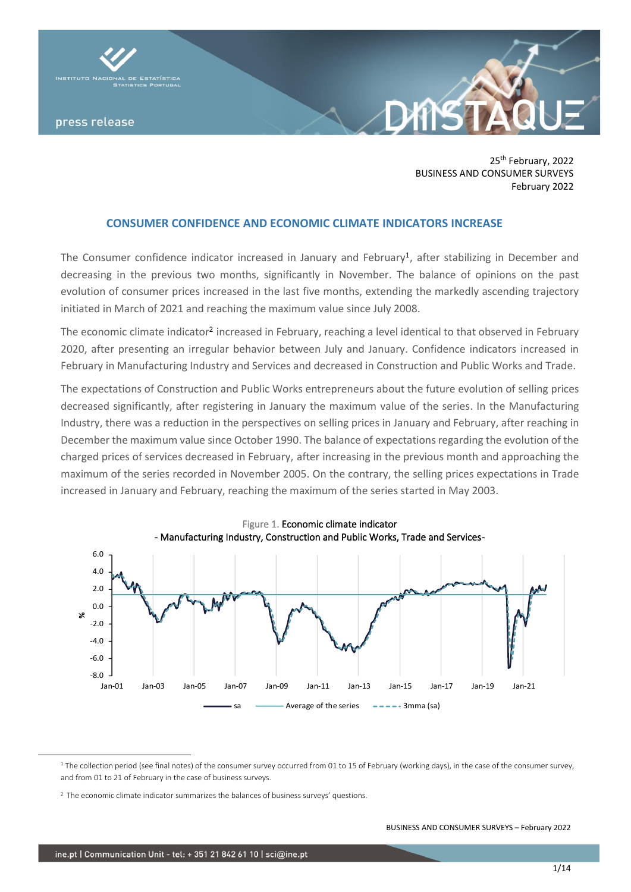

25<sup>th</sup> February, 2022 BUSINESS AND CONSUMER SURVEYS February 2022

## **CONSUMER CONFIDENCE AND ECONOMIC CLIMATE INDICATORS INCREASE**

The Consumer confidence indicator increased in January and February<sup>1</sup>, after stabilizing in December and decreasing in the previous two months, significantly in November. The balance of opinions on the past evolution of consumer prices increased in the last five months, extending the markedly ascending trajectory initiated in March of 2021 and reaching the maximum value since July 2008.

The economic climate indicator<sup>2</sup> increased in February, reaching a level identical to that observed in February 2020, after presenting an irregular behavior between July and January. Confidence indicators increased in February in Manufacturing Industry and Services and decreased in Construction and Public Works and Trade.

The expectations of Construction and Public Works entrepreneurs about the future evolution of selling prices decreased significantly, after registering in January the maximum value of the series. In the Manufacturing Industry, there was a reduction in the perspectives on selling prices in January and February, after reaching in December the maximum value since October 1990. The balance of expectations regarding the evolution of the charged prices of services decreased in February, after increasing in the previous month and approaching the maximum of the series recorded in November 2005. On the contrary, the selling prices expectations in Trade increased in January and February, reaching the maximum of the series started in May 2003.



<sup>&</sup>lt;sup>1</sup> The collection period (see final notes) of the consumer survey occurred from 01 to 15 of February (working days), in the case of the consumer survey, and from 01 to 21 of February in the case of business surveys.

<sup>&</sup>lt;sup>2</sup> The economic climate indicator summarizes the balances of business surveys' questions.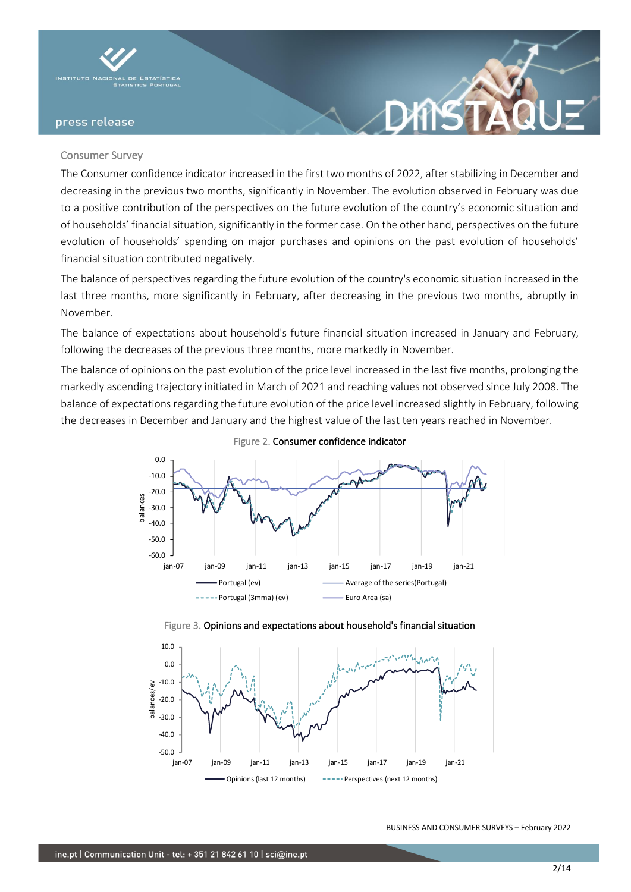

### Consumer Survey

The Consumer confidence indicator increased in the first two months of 2022, after stabilizing in December and decreasing in the previous two months, significantly in November. The evolution observed in February was due to a positive contribution of the perspectives on the future evolution of the country's economic situation and of households' financial situation, significantly in the former case. On the other hand, perspectives on the future evolution of households' spending on major purchases and opinions on the past evolution of households' financial situation contributed negatively.

The balance of perspectives regarding the future evolution of the country's economic situation increased in the last three months, more significantly in February, after decreasing in the previous two months, abruptly in November.

The balance of expectations about household's future financial situation increased in January and February, following the decreases of the previous three months, more markedly in November.

The balance of opinions on the past evolution of the price level increased in the last five months, prolonging the markedly ascending trajectory initiated in March of 2021 and reaching values not observed since July 2008. The balance of expectations regarding the future evolution of the price level increased slightly in February, following the decreases in December and January and the highest value of the last ten years reached in November.





#### Figure 3. Opinions and expectations about household's financial situation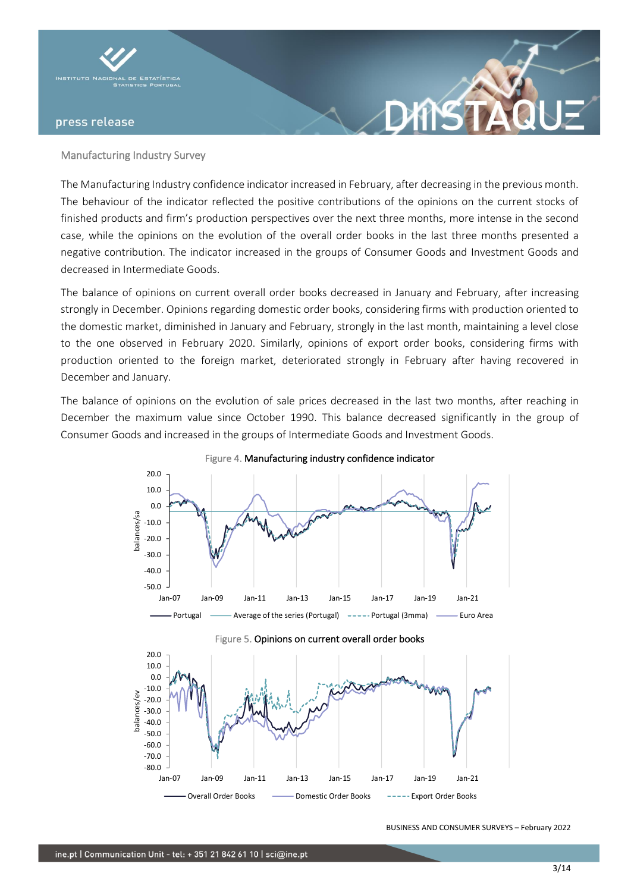

### Manufacturing Industry Survey

The Manufacturing Industry confidence indicator increased in February, after decreasing in the previous month. The behaviour of the indicator reflected the positive contributions of the opinions on the current stocks of finished products and firm's production perspectives over the next three months, more intense in the second case, while the opinions on the evolution of the overall order books in the last three months presented a negative contribution. The indicator increased in the groups of Consumer Goods and Investment Goods and decreased in Intermediate Goods.

**XNS** 

The balance of opinions on current overall order books decreased in January and February, after increasing strongly in December. Opinions regarding domestic order books, considering firms with production oriented to the domestic market, diminished in January and February, strongly in the last month, maintaining a level close to the one observed in February 2020. Similarly, opinions of export order books, considering firms with production oriented to the foreign market, deteriorated strongly in February after having recovered in December and January.

The balance of opinions on the evolution of sale prices decreased in the last two months, after reaching in December the maximum value since October 1990. This balance decreased significantly in the group of Consumer Goods and increased in the groups of Intermediate Goods and Investment Goods.





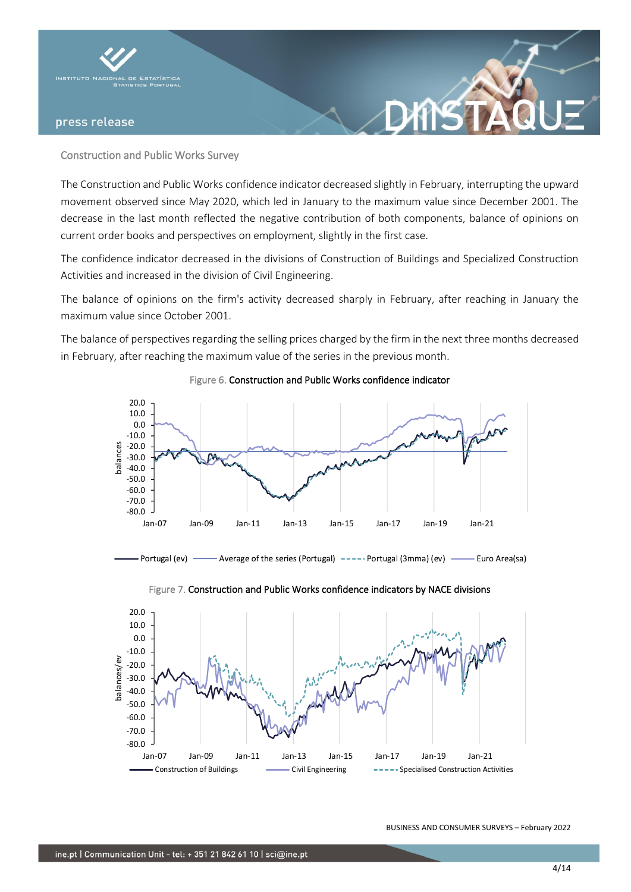

## Construction and Public Works Survey

The Construction and Public Works confidence indicator decreased slightly in February, interrupting the upward movement observed since May 2020, which led in January to the maximum value since December 2001. The decrease in the last month reflected the negative contribution of both components, balance of opinions on current order books and perspectives on employment, slightly in the first case.

The confidence indicator decreased in the divisions of Construction of Buildings and Specialized Construction Activities and increased in the division of Civil Engineering.

The balance of opinions on the firm's activity decreased sharply in February, after reaching in January the maximum value since October 2001.

The balance of perspectives regarding the selling prices charged by the firm in the next three months decreased in February, after reaching the maximum value of the series in the previous month.



# Figure 6. Construction and Public Works confidence indicator





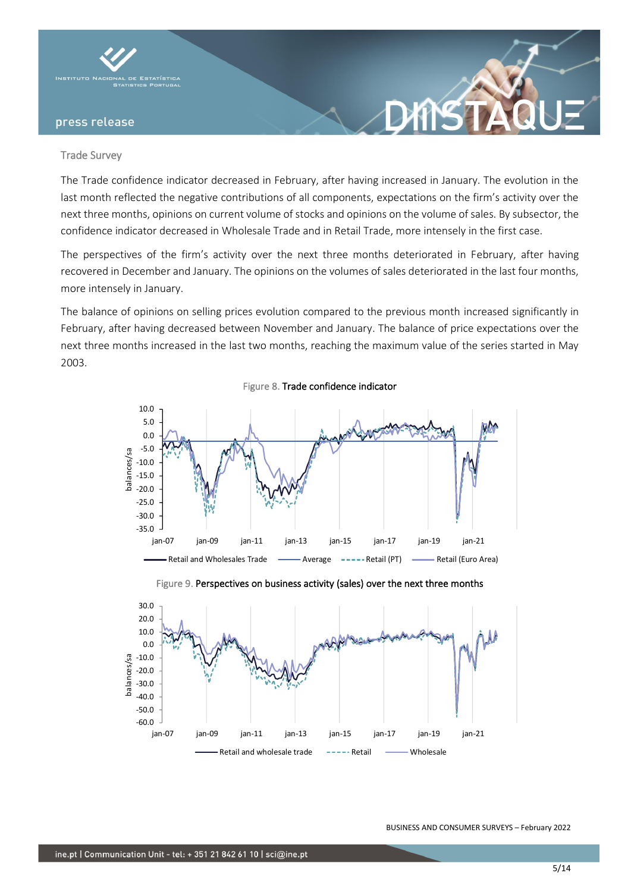

### Trade Survey

The Trade confidence indicator decreased in February, after having increased in January. The evolution in the last month reflected the negative contributions of all components, expectations on the firm's activity over the next three months, opinions on current volume of stocks and opinions on the volume of sales. By subsector, the confidence indicator decreased in Wholesale Trade and in Retail Trade, more intensely in the first case.

The perspectives of the firm's activity over the next three months deteriorated in February, after having recovered in December and January. The opinions on the volumes of sales deteriorated in the last four months, more intensely in January.

The balance of opinions on selling prices evolution compared to the previous month increased significantly in February, after having decreased between November and January. The balance of price expectations over the next three months increased in the last two months, reaching the maximum value of the series started in May 2003.







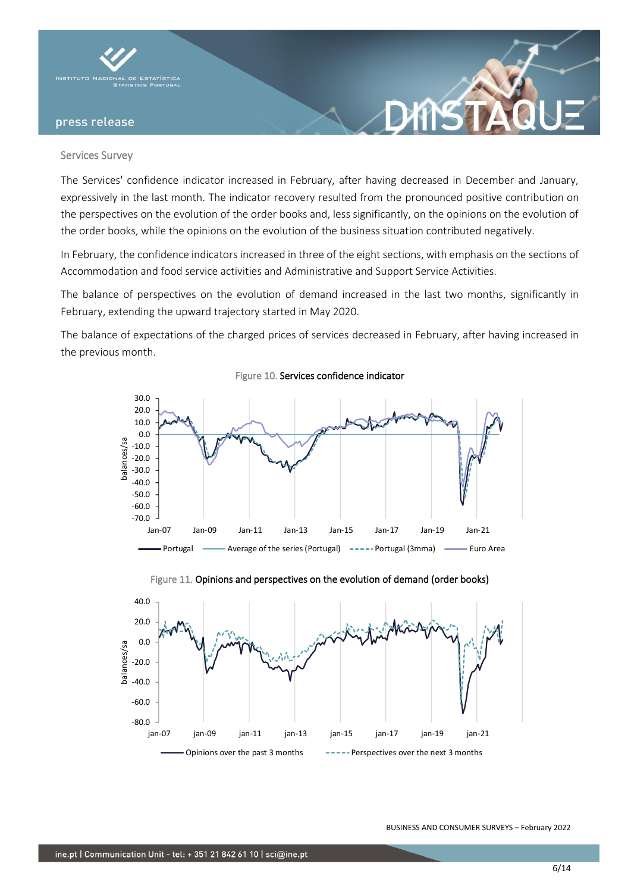

### Services Survey

The Services' confidence indicator increased in February, after having decreased in December and January, expressively in the last month. The indicator recovery resulted from the pronounced positive contribution on the perspectives on the evolution of the order books and, less significantly, on the opinions on the evolution of the order books, while the opinions on the evolution of the business situation contributed negatively.

In February, the confidence indicators increased in three of the eight sections, with emphasis on the sections of Accommodation and food service activities and Administrative and Support Service Activities.

The balance of perspectives on the evolution of demand increased in the last two months, significantly in February, extending the upward trajectory started in May 2020.

The balance of expectations of the charged prices of services decreased in February, after having increased in the previous month.



Figure 10. Services confidence indicator



Figure 11. Opinions and perspectives on the evolution of demand (order books)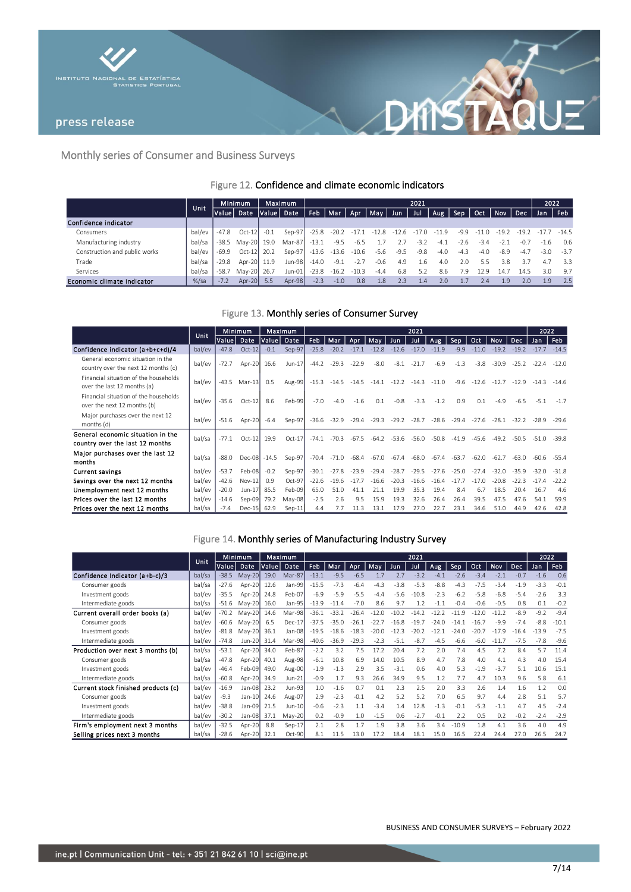



# Monthly series of Consumer and Business Surveys

# Figure 12. Confidence and climate economic indicators

|                               | Unit    | <b>Minimum</b> |             | <b>Maximum</b> |            | 2021      |         |         |                     |        |         |         |        |         |         |            | 2022             |         |
|-------------------------------|---------|----------------|-------------|----------------|------------|-----------|---------|---------|---------------------|--------|---------|---------|--------|---------|---------|------------|------------------|---------|
|                               |         | Value          | Date        |                | Value Date | Feb   Mar |         | Apr     | May                 | Jun    | Jul     | Aug.    | Sep    | Oct     | Nov     | <b>Dec</b> | Jan              | Feb     |
| Confidence indicator          |         |                |             |                |            |           |         |         |                     |        |         |         |        |         |         |            |                  |         |
| Consumers                     | bal/ev  | $-47.8$        | $Oct-12$    | $-0.1$         | Sep-97     | $-25.8$   |         |         | $-20.2 -17.1 -12.8$ | -12.6  | $-17.0$ | $-11.9$ | $-9.9$ | $-11.0$ | $-19.2$ | -19.2      | $-1/7$           | $-14.5$ |
| Manufacturing industry        | bal/sa  | -38.5          | Mav-20 19.0 |                | Mar-87     | $-13.1$   | $-9.5$  | $-6.5$  |                     |        | $-3.2$  | $-4.$   | $-2.6$ | $-3.4$  | $-2.1$  | -0.7       | $-1.6$           | 0.6     |
| Construction and public works | bal/ev  | -69.9          | $Oct-12$    | 20.2           | Sep-97     | -13.6     | -13.6   | $-10.6$ | $-5.6$              | $-9.5$ | $-9.8$  | $-4.0$  | $-4.3$ | $-4.0$  | -8.9    | $-4.7$     | $-3.0$           | $-3.7$  |
| Trade                         | bal/sa  | $-29.8$        | Apr-20 11.9 |                | Jun-98     | $-14.0$   | $-9.1$  | $-2.7$  | $-0.6$              | 4.9    | 1.6     | 4.0     | 2.0    | 5.5     | 3.8     |            | 4.7              | 3.3     |
| Services                      | bal/sa  | $-58.7$        | May-20 26.7 |                | Jun-01     | $-23.8$   | $-16.2$ | $-10.3$ | $-4.4$              | 6.8    | 5.2     | 8.6     | 7.9    | 12.9    | 14.7    | 14.5       | 3.0              | 9.7     |
| Economic climate indicator    | $%$ /sa | $-7.2$         | Apr-20 5.5  |                | $Apr-98$   | $-2.3$    | $-1.0$  | 0.8     | 1.8                 | 2.3    | 1.4     | 2.0     |        | 2.4     | 1.9     | 2.0        | 1.9 <sub>1</sub> | 2.5     |

## Figure 13. Monthly series of Consumer Survey

|                                                                          | <b>Unit</b> | Maximum<br>Minimum |              |              | 2021     |         |         |         |         |               |         |         |         |         |         | 2022    |         |         |
|--------------------------------------------------------------------------|-------------|--------------------|--------------|--------------|----------|---------|---------|---------|---------|---------------|---------|---------|---------|---------|---------|---------|---------|---------|
|                                                                          |             | Valuel             | Date         | <b>Value</b> | Date     | Feb.    | Mar     | Apr     | Mav     | Jun           | Jul     | Aug.    | Sep     | Oct     | Nov     | Dec.    | Jan     | Feb     |
| Confidence indicator (a+b+c+d)/4                                         | bal/ev      | $-47.8$            | $Oct-12$     | $-0.1$       | Sep-97   | $-25.8$ | $-20.2$ | $-17.1$ | $-12.8$ | $-12.6$       | $-17.0$ | $-11.9$ | $-9.9$  | $-11.0$ | $-19.2$ | $-19.2$ | $-17.7$ | $-14.5$ |
| General economic situation in the<br>country over the next 12 months (c) | bal/ev      | $-72.7$            | Apr-20       | 16.6         | Jun-17   | $-44.2$ | $-29.3$ | $-22.9$ | $-8.0$  | $-8.1$        | $-21.7$ | $-6.9$  | $-1.3$  | $-3.8$  | $-30.9$ | $-25.2$ | $-22.4$ | $-12.0$ |
| Financial situation of the households<br>over the last 12 months (a)     | bal/ev      | $-43.5$            | Mar-13       | 0.5          | Aug-99   | $-15.3$ | $-14.5$ | -14.5   |         | $-14.1 -12.2$ | -14.3   | $-11.0$ | $-9.6$  | $-12.6$ | $-12.7$ | $-12.9$ | $-14.3$ | $-14.6$ |
| Financial situation of the households<br>over the next 12 months (b)     | bal/ev      | $-35.6$            | $Oct-12$     | 8.6          | Feb-99   | $-7.0$  | $-4.0$  | $-1.6$  | 0.1     | $-0.8$        | $-3.3$  | $-1.2$  | 0.9     | 0.1     | $-4.9$  | $-6.5$  | $-5.1$  | $-1.7$  |
| Major purchases over the next 12<br>months (d)                           | bal/ev      | $-51.6$            | Apr-20       | $-6.4$       | Sep-97   | $-36.6$ | $-32.9$ | $-29.4$ | $-29.3$ | $-29.2$       | $-28.7$ | $-28.6$ | $-29.4$ | $-27.6$ | $-28.1$ | $-32.2$ | $-28.9$ | $-29.6$ |
| General economic situation in the<br>country over the last 12 months     | bal/sa      | $-77.1$            | $Oct-12$     | 19.9         | $Oct-17$ | $-74.1$ | $-70.3$ | $-67.5$ | $-64.2$ | $-53.6$       | $-56.0$ | $-50.8$ | $-41.9$ | $-45.6$ | $-49.2$ | $-50.5$ | $-51.0$ | $-39.8$ |
| Major purchases over the last 12<br>months                               | bal/sa      | $-88.0$            | Dec-08 -14.5 |              | Sep-97   | $-70.4$ | $-71.0$ | -68.4   | -67.0   | -67.4         | $-68.0$ | $-67.4$ | $-63.7$ | $-62.0$ | $-62.7$ | $-63.0$ | $-60.6$ | $-55.4$ |
| <b>Current savings</b>                                                   | bal/ev      | $-53.7$            | Feb-08       | $-0.2$       | Sep-97   | $-30.1$ | $-27.8$ | $-23.9$ | $-29.4$ | $-28.7$       | $-29.5$ | $-27.6$ | $-25.0$ | $-27.4$ | $-32.0$ | $-35.9$ | $-32.0$ | $-31.8$ |
| Savings over the next 12 months                                          | bal/ev      | $-42.6$            | $Nov-12$     | 0.9          | $Oct-97$ | $-22.6$ | $-19.6$ | -17.7   | $-16.6$ | $-20.3$       | $-16.6$ | $-16.4$ | -177    | $-170$  | $-20.8$ |         | $-17.4$ | $-22.2$ |
| Unemployment next 12 months                                              | bal/ev      | $-20.0$            | $Jun-17$     | 85.5         | Feb-09   | 65.0    | 51.0    | 41.1    | 21.1    | 19.9          | 35.3    | 19.4    | 8.4     | 6.7     | 18.5    | 20.4    | 16.7    | 4.6     |
| Prices over the last 12 months                                           | bal/ev      | $-14.6$            | Sep-09       | 79.2         | May-08   | $-2.5$  | 2.6     | 9.5     | 15.9    | 19.3          | 32.6    | 26.4    | 26.4    | 39.5    | 47.5    | 47.6    | 54.1    | 59.9    |
| Prices over the next 12 months                                           | bal/sa      | $-7.4$             | Dec-15 62.9  |              | $Sep-11$ | 4.4     | 7.7     | 11.3    | 13.1    | 17.9          | 27.0    | 22.7    | 23.1    | 34.6    | 51.0    | 44.9    | 42.6    | 42.8    |

## Figure 14. Monthly series of Manufacturing Industry Survey

|                                     | <b>Unit</b> |         | Minimum  | Maximum |          | 2021    |         |         |         |         |         |         |         |         |            |         | 2022    |         |
|-------------------------------------|-------------|---------|----------|---------|----------|---------|---------|---------|---------|---------|---------|---------|---------|---------|------------|---------|---------|---------|
|                                     |             | Valuel  | Date     | Value   | Date     | Feb     | Mar     | Apr     | May     | Jun     | Jul     | Aug     | Sep     | Oct     | <b>Nov</b> | Dec     | Jan     | Feb     |
| Confidence Indicator (a+b-c)/3      | bal/sa      | $-38.5$ | May-20   | 19.0    | Mar-87   | $-13.1$ | $-9.5$  | $-6.5$  | 1.7     | 2.7     | $-3.2$  | $-4.1$  | $-2.6$  | $-3.4$  | $-2.1$     | $-0.7$  | $-1.6$  | 0.6     |
| Consumer goods                      | bal/sa      | $-27.6$ | Apr-20   | 12.6    | Jan-99   | $-15.5$ | $-7.3$  | $-6.4$  | $-4.3$  | $-3.8$  | $-5.3$  | $-8.8$  | $-4.3$  | $-7.5$  | $-3.4$     | $-1.9$  | $-3.3$  | $-0.1$  |
| Investment goods                    | bal/ev      | $-35.5$ | Apr-20   | 24.8    | Feb-07   | $-6.9$  | $-5.9$  | $-5.5$  | $-4.4$  | $-5.6$  | $-10.8$ | $-2.3$  | $-6.2$  | $-5.8$  | $-6.8$     | $-5.4$  | $-2.6$  | 3.3     |
| Intermediate goods                  | bal/sa      | $-51.6$ | $May-20$ | 16.0    | Jan-95   | $-13.9$ | $-11.4$ | $-7.0$  | 8.6     | 9.7     | 1.2     | $-1.1$  | $-0.4$  | $-0.6$  | $-0.5$     | 0.8     | 0.1     | $-0.2$  |
| Current overall order books (a)     | bal/ev      | $-70.2$ | $May-20$ | 14.6    | Mar-98   | $-36.1$ | $-33.2$ | $-26.4$ | $-12.0$ | $-10.2$ | $-14.2$ | $-12.2$ | $-11.9$ | $-12.0$ | $-12.2$    | $-8.9$  | $-9.2$  | $-9.4$  |
| Consumer goods                      | bal/ev      | $-60.6$ | May-20   | 6.5     | $Dec-17$ | $-37.5$ | $-35.0$ | $-26.1$ | $-22.7$ | $-16.8$ | $-19.7$ | $-24.0$ | $-14.1$ | $-16.7$ | $-9.9$     | $-7.4$  | $-8.8$  | $-10.1$ |
| Investment goods                    | bal/ev      | $-81.8$ | $Mav-20$ | 36.1    | Jan-08   | $-19.5$ | $-18.6$ | $-18.3$ | $-20.0$ | $-12.3$ | $-20.2$ | $-12.1$ | $-24.0$ | $-20.7$ | $-17.9$    | $-16.4$ | $-13.9$ | $-7.5$  |
| Intermediate goods                  | bal/ev      | $-74.8$ | Jun-20   | 31.4    | Mar-98   | $-40.6$ | $-36.9$ | $-29.3$ | $-2.3$  | $-5.1$  | $-8.7$  | $-4.5$  | $-6.6$  | $-6.0$  | $-11.7$    | $-7.5$  | $-7.8$  | $-9.6$  |
| Production over next 3 months (b)   | bal/sa      | $-53.1$ | Apr-20   | 34.0    | Feb-87   | $-2.2$  | 3.2     | 7.5     | 17.2    | 20.4    | 7.2     | 2.0     | 7.4     | 4.5     | 7.2        | 8.4     | 5.7     | 11.4    |
| Consumer goods                      | bal/sa      | $-47.8$ | Apr-20   | 40.1    | Aug-98   | $-6.1$  | 10.8    | 6.9     | 14.0    | 10.5    | 8.9     | 4.7     | 7.8     | 4.0     | 4.1        | 4.3     | 4.0     | 15.4    |
| Investment goods                    | bal/ev      | $-46.4$ | Feb-09   | 49.0    | Aug-00   | $-1.9$  | $-1.3$  | 2.9     | 3.5     | $-3.1$  | 0.6     | 4.0     | 5.3     | $-1.9$  | $-3.7$     | 5.1     | 10.6    | 15.1    |
| Intermediate goods                  | bal/sa      | $-60.8$ | Apr-20   | 34.9    | $Jun-21$ | $-0.9$  | 1.7     | 9.3     | 26.6    | 34.9    | 9.5     | 1.2     | 7.7     | 4.7     | 10.3       | 9.6     | 5.8     | 6.1     |
| Current stock finished products (c) | bal/ev      | $-16.9$ | Jan-08   | 23.2    | Jun-93   | 1.0     | $-1.6$  | 0.7     | 0.1     | 2.3     | 2.5     | 2.0     | 3.3     | 2.6     | 1.4        | 1.6     | 1.2     | 0.0     |
| Consumer goods                      | bal/ev      | $-9.3$  | $Jan-10$ | 24.6    | Aug-07   | 2.9     | $-2.3$  | $-0.1$  | 4.2     | 5.2     | 5.2     | 7.0     | 6.5     | 9.7     | 4.4        | 2.8     | 5.1     | 5.7     |
| Investment goods                    | bal/ev      | $-38.8$ | Jan-09   | 21.5    | Jun-10   | $-0.6$  | $-2.3$  | 1.1     | $-3.4$  | 1.4     | 12.8    | $-1.3$  | $-0.1$  | $-5.3$  | $-1.1$     | 4.7     | 4.5     | $-2.4$  |
| Intermediate goods                  | bal/ev      | $-30.2$ | Jan-08   | 37.1    | $May-20$ | 0.2     | $-0.9$  | 1.0     | $-1.5$  | 0.6     | $-2.7$  | $-0.1$  | 2.2     | 0.5     | 0.2        | $-0.2$  | $-2.4$  | $-2.9$  |
| Firm's employment next 3 months     | bal/ev      | $-32.5$ | Apr-20   | 8.8     | $Sep-17$ | 2.1     | 2.8     | 1.7     | 1.9     | 3.8     | 3.6     | 3.4     | $-10.9$ | 1.8     | 4.1        | 3.6     | 4.0     | 4.9     |
| Selling prices next 3 months        | bal/sa      | $-28.6$ | Apr-20   | 32.1    | Oct-90   | 8.1     | 11.5    | 13.0    | 17.2    | 18.4    | 18.1    | 15.0    | 16.5    | 22.4    | 24.4       | 27.0    | 26.5    | 24.7    |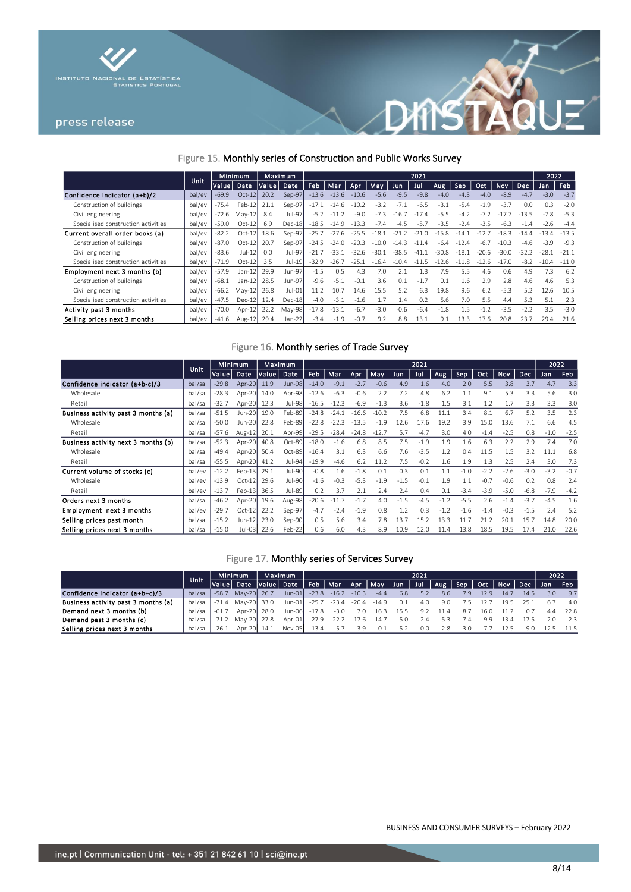



## Figure 15. Monthly series of Construction and Public Works Survey

|                                     |        | <b>Minimum</b><br>Unit |           |       | Maximum       |         |         |         |         |         | 2021    |              |         |         |            |           | 2022    |         |
|-------------------------------------|--------|------------------------|-----------|-------|---------------|---------|---------|---------|---------|---------|---------|--------------|---------|---------|------------|-----------|---------|---------|
|                                     |        | Value                  | Date      | Value | Date          | Feb.    | Mar     | Apr     | Mav     | Jun.    | Jul     | Aug          | Sep     | Oct.    | <b>Nov</b> | Dec.      | Jan     | Feb     |
| Confidence Indicator (a+b)/2        | bal/ev | $-69.9$                | $Oct-12$  | 20.2  | Sep-97        | $-13.6$ | $-13.6$ | $-10.6$ | $-5.6$  | $-9.5$  | $-9.8$  | $-4.0$       | $-4.3$  | $-4.0$  | $-8.9$     | $-47$     | $-3.0$  | $-3.7$  |
| Construction of buildings           | bal/ev | -75.4                  | Feb-12    | 21.1  | Sep-97        | $-17.1$ | $-14.6$ | $-10.2$ | $-3.2$  | $-7.7$  | $-6.5$  | $-3.1$       | $-5.4$  | $-1.9$  | $-3.7$     | 0.0       | 0.3     | $-2.0$  |
| Civil engineering                   | bal/ev | $-72.6$                | $Mav-12$  | 8.4   | Jul-97        | $-5.2$  | $-11.2$ | $-9.0$  | $-7.3$  | $-16.7$ | $-17.4$ | $-5.5$       | $-4.2$  | $-7.2$  | $-177$     | $-13.5$   | $-7.8$  | $-5.3$  |
| Specialised construction activities | bal/ev | $-59.0$                | $Oct-12$  | 6.9   | $Dec-18$      | $-18.5$ | $-14.9$ | -133    | $-7.4$  | $-4.5$  | $-57$   | $-3.5$       | $-2.4$  | $-3.5$  | $-6.3$     | $-1$<br>4 | $-2.6$  | $-4.4$  |
| Current overall order books (a)     | bal/ev | $-82.2$                | $Oct-12$  | 18.6  | Sep-97        | $-25.7$ | $-27.6$ | -25     | $-18.1$ |         |         | ୍ 8<br>$-15$ | $-14$   |         | $-183$     |           | $-134$  | $-13.5$ |
| Construction of buildings           | bal/ev | $-87.0$                | $Oct-12$  | 20.7  | Sep-97        | $-24.5$ | $-24.0$ |         | $-100$  | $-143$  | $-11.4$ | $-6.4$       | $-12.4$ | $-6.7$  | $-10.3$    | $-4.6$    | $-3.9$  | $-9.3$  |
| Civil engineering                   | bal/ev | $-83.6$                | $Jul-12$  | 0.0   | Jul-97        | $-21$   | $-33.1$ | $-32.6$ | $-30.1$ | $-38.5$ | $-41.1$ | $-30.8$      | $-18.1$ | $-20.6$ | $-30.0$    | $-32.2$   | $-28.1$ | $-21.1$ |
| Specialised construction activities | bal/ev | $-71.9$                | $Oct-12$  | 3.5   | Jul-19        | $-32.9$ | $-26.7$ | $-251$  | $-16.4$ | $-10A$  | $-11$   | $-12.6$      | $-11.8$ | $-12.6$ | $-17.0$    | $-8.2$    | $-10.4$ | $-11.0$ |
| Employment next 3 months (b)        | bal/ev | $-57.9$                | $Jan-12$  | 29.9  | <b>Jun-97</b> | $-1.5$  | 0.5     | 4.3     | 7.0     | 2.1     | 1.3     | 7.9          | 5.5     | 4.6     | 0.6        | 4.9       | 7.3     | 6.2     |
| Construction of buildings           | bal/ev | $-68.1$                | $Jan-12$  | 28.5  | Jun-97        | $-9.6$  | $-5.1$  | $-0.1$  | 3.6     | 0.1     | $-1.7$  | 0.1          | 1.6     | 2.9     | 2.8        | 4.6       | 4.6     | 5.3     |
| Civil engineering                   | bal/ev | $-66.2$                | $Mav-12$  | 26.8  | Jul-01        | 11.2    | 10.7    | 14.6    | 15.5    | 5.2     | 6.3     | 19.8         | 9.6     | 6.2     | $-5.3$     | 5.2       | 12.6    | 10.5    |
| Specialised construction activities | bal/ev | $-47.5$                | $Dec-1$   | 12.4  | $Dec-18$      | $-4.0$  | $-3.1$  | $-1.6$  | 1.7     | 1.4     | 0.2     | 5.6          | 7.0     | 5.5     | 4.4        | 5.3       | 5.1     | 2.3     |
| Activity past 3 months              | bal/ev | $-70.0$                | $Apr-12$  | 22.2  | May-98        | $-17.8$ | $-13.1$ | $-6.7$  | $-3.0$  | $-0.6$  | $-6.4$  | $-1.8$       | 1.5     | $-1.2$  | $-3.5$     | $-2.2$    | 3.5     | $-3.0$  |
| Selling prices next 3 months        | bal/ev | $-41.6$                | Aug- $12$ | 29.4  | Jan-22        | $-3.4$  | $-1.9$  | $-0.7$  | 9.2     | 8.8     | 13.1    | 9.1          | 13.3    | 17.6    | 20.8       | 23.7      | 29.4    | 21.6    |

## Figure 16. Monthly series of Trade Survey

|                                     |        | Minimum<br><b>Unit</b> |          |            | Maximum  | 2021    |         |         |         |        |        |        |        |        |            |            | 2022   |        |  |
|-------------------------------------|--------|------------------------|----------|------------|----------|---------|---------|---------|---------|--------|--------|--------|--------|--------|------------|------------|--------|--------|--|
|                                     |        | Valuel                 | Date     | Value Date |          | Feb     | Mar     | Apr     | May     | Jun    | Jul    | Aug    | Sep    | Oct    | <b>Nov</b> | <b>Dec</b> | Jan    | Feb    |  |
| Confidence indicator (a+b-c)/3      | bal/sa | $-29.8$                | Apr-20   | 11.9       | Jun-98   | $-14.0$ | $-9.1$  | $-2.7$  | $-0.6$  | 4.9    | 1.6    | 4.0    | 2.0    | 5.5    | 3.8        | 3.7        | 4.7    | 3.3    |  |
| Wholesale                           | bal/sa | $-28.3$                | Apr-20   | 14.0       | Apr-98   | $-12.6$ | $-6.3$  | $-0.6$  | 2.2     | 7.2    | 4.8    | 6.2    | 1.1    | 9.1    | 5.3        | 3.3        | 5.6    | 3.0    |  |
| Retail                              | bal/sa | $-32.7$                | Apr-20   | 12.3       | Jul-98   | $-16.5$ | $-12.3$ | $-6.9$  | $-1.3$  | 3.6    | $-1.8$ | 1.5    | 3.1    | 1.2    | 1.7        | 3.3        | 3.3    | 3.0    |  |
| Business activity past 3 months (a) | bal/sa | $-51.5$                | Jun-20   | 19.0       | Feb-89   | $-24.8$ | $-24.1$ | $-16.6$ | $-10.2$ | 7.5    | 6.8    | 11.1   | 3.4    | 8.1    | 6.7        | 5.2        | 3.5    | 2.3    |  |
| Wholesale                           | bal/sa | $-50.0$                | Jun-20   | 22.8       | Feb-89   | $-22.8$ | $-22.3$ | $-13.5$ | $-1.9$  | 12.6   | 17.6   | 19.2   | 3.9    | 15.0   | 13.6       | 7.1        | 6.6    | 4.5    |  |
| Retail                              | bal/sa | $-57.6$                | Aug-12   | 20.1       | Apr-99   | $-29.5$ | $-28.4$ | $-24.8$ | $-12.7$ | 5.7    | $-4.7$ | 3.0    | 4.0    | $-1.4$ | $-2.5$     | 0.8        | $-1.0$ | $-2.5$ |  |
| Business activity next 3 months (b) | bal/sa | $-52.3$                | Apr-20   | 40.8       | Oct-89   | $-18.0$ | $-1.6$  | 6.8     | 8.5     | 7.5    | $-1.9$ | 1.9    | 1.6    | 6.3    | 2.2        | 2.9        | 7.4    | 7.0    |  |
| Wholesale                           | bal/sa | $-49.4$                | Apr-20   | 50.4       | $Oct-89$ | $-16.4$ | 3.1     | 6.3     | 6.6     | 7.6    | $-3.5$ | 1.2    | 0.4    | 11.5   | 1.5        | 3.2        | 11.1   | 6.8    |  |
| Retail                              | bal/sa | $-55.5$                | Apr-20   | 41.2       | Jul-94   | $-19.9$ | $-4.6$  | 6.2     | 11.2    | 7.5    | $-0.2$ | 1.6    | 1.9    | 1.3    | 2.5        | 2.4        | 3.0    | 7.3    |  |
| Current volume of stocks (c)        | bal/ev | $-12.2$                | $Feb-13$ | 29.1       | Jul-90   | $-0.8$  | 1.6     | $-1.8$  | 0.1     | 0.3    | 0.1    | 1.1    | $-1.0$ | $-2.2$ | $-2.6$     | $-3.0$     | $-3.2$ | $-0.7$ |  |
| Wholesale                           | bal/ev | $-13.9$                | $Oct-12$ | 29.6       | Jul-90   | $-1.6$  | $-0.3$  | $-5.3$  | $-1.9$  | $-1.5$ | $-0.1$ | 1.9    | 1.1    | $-0.7$ | $-0.6$     | 0.2        | 0.8    | 7.4    |  |
| Retail                              | bal/ev | $-13.7$                | Feb-13   | 36.5       | Jul-89   | 0.2     | 3.7     | 2.1     | 2.4     | 2.4    | 0.4    | 0.1    | $-3.4$ | $-3.9$ | $-5.0$     | $-6.8$     | $-7.9$ | $-4.2$ |  |
| Orders next 3 months                | bal/sa | $-46.2$                | Apr-20   | 19.6       | Aug-98   | $-20.6$ | $-11.7$ | $-1.7$  | 4.0     | $-1.5$ | $-4.5$ | $-1.2$ | $-5.5$ | 2.6    | $-1.4$     | $-3.7$     | $-4.5$ | 1.6    |  |
| Employment next 3 months            | bal/ev | $-29.7$                | $Oct-12$ | 22.2       | Sep-97   | $-4.7$  | $-2.4$  | $-1.9$  | 0.8     | 1.2    | 0.3    | $-1.2$ | $-1.6$ | $-1.4$ | $-0.3$     | $-1.5$     | 7.4    | 5.2    |  |
| Selling prices past month           | bal/sa | $-15.2$                | $Jun-12$ | 23.0       | Sep-90   | 0.5     | 5.6     | 3.4     | 7.8     | 13.7   | 15.2   | 13.3   | 11.7   | 21.2   | 20.1       | 15.7       | 14.8   | 20.0   |  |
| Selling prices next 3 months        | bal/sa | $-15.0$                | Jul-03   | 22.6       | $Feb-22$ | 0.6     | 6.0     | 4.3     | 8.9     | 10.9   | 12.0   | 11.4   | 13.8   | 18.5   | 19.5       | 17.4       | 21.0   | 22.6   |  |

## Figure 17. Monthly series of Services Survey

|                                     |        | Unit         |                   | Maximum<br>Minimum |         | 2021                                                                    |               |               |      |     |      |     |      |      |                     |        | 2022  |  |
|-------------------------------------|--------|--------------|-------------------|--------------------|---------|-------------------------------------------------------------------------|---------------|---------------|------|-----|------|-----|------|------|---------------------|--------|-------|--|
|                                     |        | lValue  Date |                   | Value Date         |         | <sup>'</sup> Feb   Mar   Apr   May   Jun   Jul   Aug   Sep <sub> </sub> |               |               |      |     |      |     |      |      | Oct Nov Dec Jan Feb |        |       |  |
| Confidence indicator (a+b+c)/3      | bal/sa | $-58.7$      | May-20 26.7       | $Jun-01$           | $-23.8$ | $-16.2$                                                                 | $-10.3$       | $-4.4$        | 6.8  | 5.2 | 8.6  | 7.9 | 12.9 | 14.7 | 14.5                | 3.0    | 9.7   |  |
| Business activity past 3 months (a) | bal/sa |              | -71.4 May-20 33.0 | Jun-01             | $-25.7$ | $-23.4$                                                                 |               | $-20.4 -14.9$ | 0.1  | 4.0 | 9.0  |     |      | 19.5 | 25.1                | 6.7    | 4.0   |  |
| Demand next 3 months (b)            | bal/sa | $-61.7$      | Apr-20 28.0       | Jun-06L            | $-17.8$ | $-3.0$                                                                  | 7.0           | 16.3          | 15.5 | 9.2 | 11.4 | 8.7 | 16.0 | 11.2 |                     | 4.4    | -22.8 |  |
| Demand past 3 months (c)            | bal/sa |              | Mav-20 27.8       | Apr-01             | $-27.9$ |                                                                         | $-22.2 -17.6$ | $-14.7$       | 5.0  | 2.4 |      | 7.4 | 9.9  | 13.4 |                     | $-2.0$ | 2.3   |  |
| Selling prices next 3 months        | bal/sa | $-26.1$      | Apr-20 14.1       | Nov-05             | $-13.4$ | $-5.7$                                                                  | $-3.9$        | $-0.1$        | 5.2  | 0.0 | 2.8  | 3.0 |      | 12.5 |                     |        | 11.5  |  |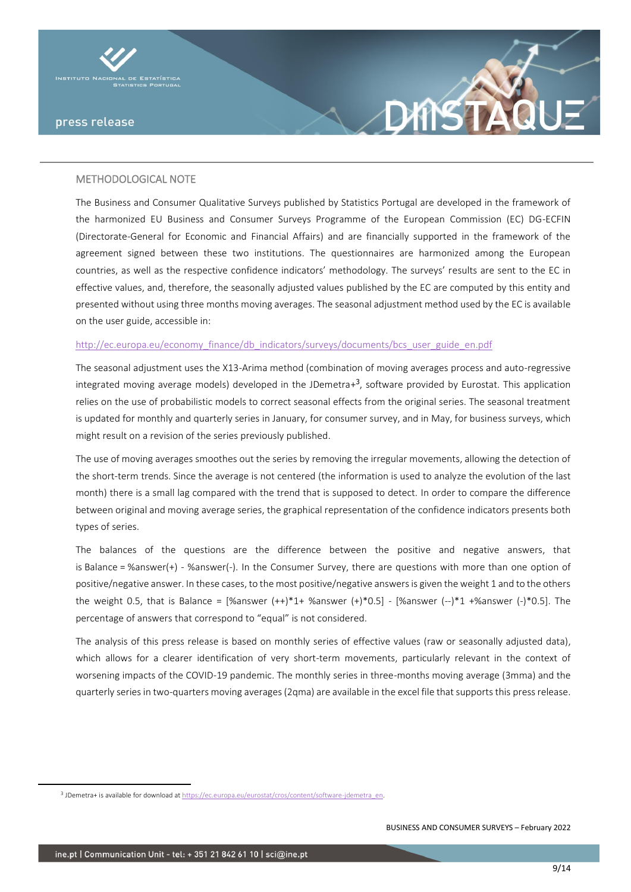



The Business and Consumer Qualitative Surveys published by Statistics Portugal are developed in the framework of the harmonized EU Business and Consumer Surveys Programme of the European Commission (EC) DG-ECFIN (Directorate-General for Economic and Financial Affairs) and are financially supported in the framework of the agreement signed between these two institutions. The questionnaires are harmonized among the European countries, as well as the respective confidence indicators' methodology. The surveys' results are sent to the EC in effective values, and, therefore, the seasonally adjusted values published by the EC are computed by this entity and presented without using three months moving averages. The seasonal adjustment method used by the EC is available on the user guide, accessible in:

#### [http://ec.europa.eu/economy\\_finance/db\\_indicators/surveys/documents/bcs\\_user\\_guide\\_en.pdf](http://ec.europa.eu/economy_finance/db_indicators/surveys/documents/bcs_user_guide_en.pdf)

The seasonal adjustment uses the X13-Arima method (combination of moving averages process and auto-regressive integrated moving average models) developed in the JDemetra+ 3 , software provided by Eurostat. This application relies on the use of probabilistic models to correct seasonal effects from the original series. The seasonal treatment is updated for monthly and quarterly series in January, for consumer survey, and in May, for business surveys, which might result on a revision of the series previously published.

The use of moving averages smoothes out the series by removing the irregular movements, allowing the detection of the short-term trends. Since the average is not centered (the information is used to analyze the evolution of the last month) there is a small lag compared with the trend that is supposed to detect. In order to compare the difference between original and moving average series, the graphical representation of the confidence indicators presents both types of series.

The balances of the questions are the difference between the positive and negative answers, that is Balance = %answer(+) - %answer(-). In the Consumer Survey, there are questions with more than one option of positive/negative answer. In these cases, to the most positive/negative answers is given the weight 1 and to the others the weight 0.5, that is Balance =  $[%$ answer  $(+*)^*1+$  %answer  $(+)^*0.5]$  -  $[%$ answer  $(-)^*1+%$ answer  $(-)^*0.5]$ . The percentage of answers that correspond to "equal" is not considered.

The analysis of this press release is based on monthly series of effective values (raw or seasonally adjusted data), which allows for a clearer identification of very short-term movements, particularly relevant in the context of worsening impacts of the COVID-19 pandemic. The monthly series in three-months moving average (3mma) and the quarterly series in two-quarters moving averages (2qma) are available in the excel file that supports this press release.

<sup>&</sup>lt;sup>3</sup> JDemetra+ is available for download a[t https://ec.europa.eu/eurostat/cros/content/software-jdemetra\\_en.](https://ec.europa.eu/eurostat/cros/content/software-jdemetra_en)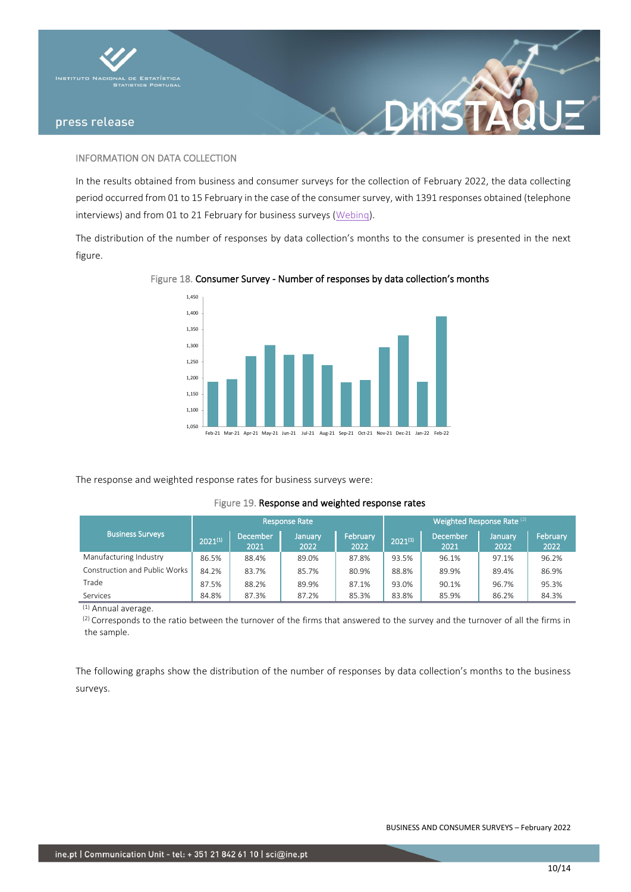



### INFORMATION ON DATA COLLECTION

In the results obtained from business and consumer surveys for the collection of February 2022, the data collecting period occurred from 01 to 15 February in the case of the consumer survey, with 1391 responses obtained (telephone interviews) and from 01 to 21 February for business surveys [\(Webinq\)](https://webinq.ine.pt/).

The distribution of the number of responses by data collection's months to the consumer is presented in the next figure.



### Figure 18. Consumer Survey - Number of responses by data collection's months

The response and weighted response rates for business surveys were:

#### Figure 19. Response and weighted response rates

|                               |              |                         | <b>Response Rate</b> |                  | Weighted Response Rate (2) |                         |                 |                  |  |  |  |  |  |
|-------------------------------|--------------|-------------------------|----------------------|------------------|----------------------------|-------------------------|-----------------|------------------|--|--|--|--|--|
| <b>Business Surveys</b>       | $2021^{(1)}$ | <b>December</b><br>2021 | January<br>2022      | February<br>2022 | $2021^{(1)}$               | <b>December</b><br>2021 | January<br>2022 | February<br>2022 |  |  |  |  |  |
| Manufacturing Industry        | 86.5%        | 88.4%                   | 89.0%                | 87.8%            | 93.5%                      | 96.1%                   | 97.1%           | 96.2%            |  |  |  |  |  |
| Construction and Public Works | 84.2%        | 83.7%                   | 85.7%                | 80.9%            | 88.8%                      | 89.9%                   | 89.4%           | 86.9%            |  |  |  |  |  |
| Trade                         | 87.5%        | 88.2%                   | 89.9%                | 87.1%            | 93.0%                      | 90.1%                   | 96.7%           | 95.3%            |  |  |  |  |  |
| Services                      | 84.8%        | 87.3%                   | 87.2%                | 85.3%            | 83.8%                      | 85.9%                   | 86.2%           | 84.3%            |  |  |  |  |  |

(1) Annual average.

<sup>(2)</sup> Corresponds to the ratio between the turnover of the firms that answered to the survey and the turnover of all the firms in the sample.

The following graphs show the distribution of the number of responses by data collection's months to the business surveys.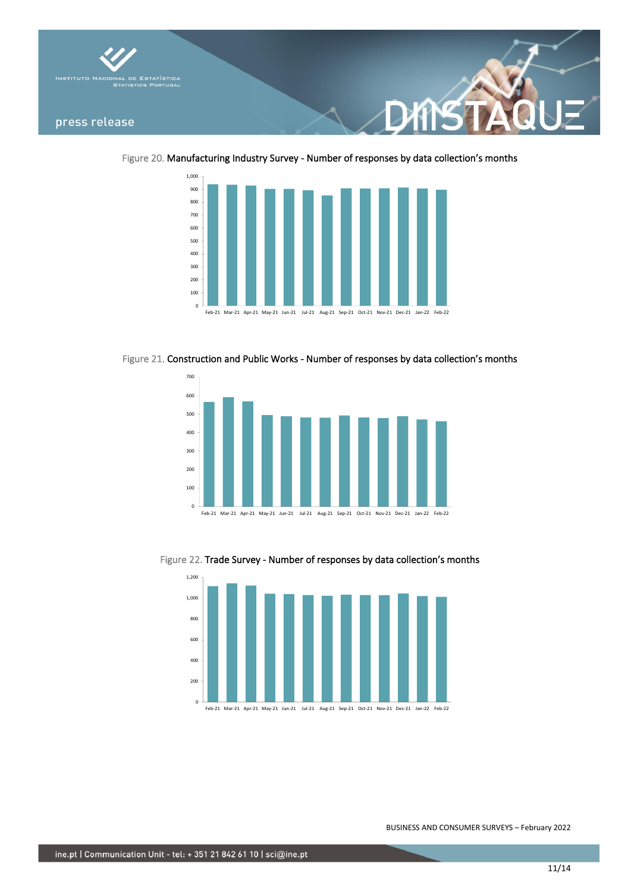

Figure 20. Manufacturing Industry Survey - Number of responses by data collection's months



Figure 21. Construction and Public Works - Number of responses by data collection's months



Figure 22. Trade Survey - Number of responses by data collection's months



Feb-21 Mar-21 Apr-21 May-21 Jun-21 Jul-21 Aug-21 Sep-21 Oct-21 Nov-21 Dec-21 Jan-22 Feb-22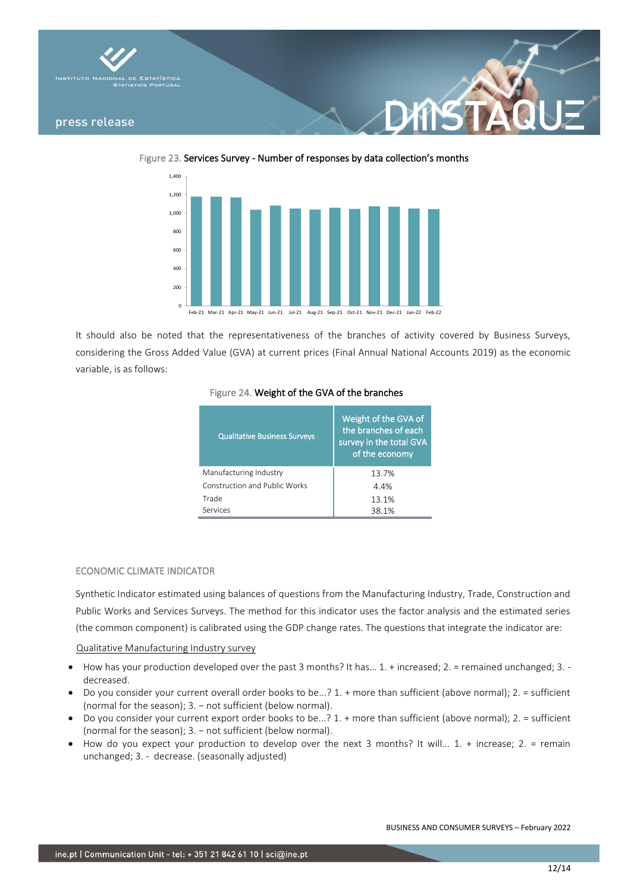

Figure 23. Services Survey - Number of responses by data collection's months



It should also be noted that the representativeness of the branches of activity covered by Business Surveys, considering the Gross Added Value (GVA) at current prices (Final Annual National Accounts 2019) as the economic variable, is as follows:

### Figure 24. Weight of the GVA of the branches

| <b>Qualitative Business Surveys</b> | Weight of the GVA of<br>the branches of each<br>survey in the total GVA<br>of the economy |
|-------------------------------------|-------------------------------------------------------------------------------------------|
| Manufacturing Industry              | 13.7%                                                                                     |
| Construction and Public Works       | 4.4%                                                                                      |
| Trade                               | 13.1%                                                                                     |
| Services                            | 38.1%                                                                                     |

### ECONOMIC CLIMATE INDICATOR

Synthetic Indicator estimated using balances of questions from the Manufacturing Industry, Trade, Construction and Public Works and Services Surveys. The method for this indicator uses the factor analysis and the estimated series (the common component) is calibrated using the GDP change rates. The questions that integrate the indicator are:

Qualitative Manufacturing Industry survey

- $\bullet$  How has your production developed over the past 3 months? It has... 1. + increased; 2. = remained unchanged; 3. decreased.
- Do you consider your current overall order books to be...? 1. + more than sufficient (above normal); 2. = sufficient (normal for the season); 3. – not sufficient (below normal).
- Do you consider your current export order books to be...? 1. + more than sufficient (above normal); 2. = sufficient (normal for the season); 3. − not sufficient (below normal).
- How do you expect your production to develop over the next 3 months? It will... 1. + increase; 2. = remain unchanged; 3. - decrease. (seasonally adjusted)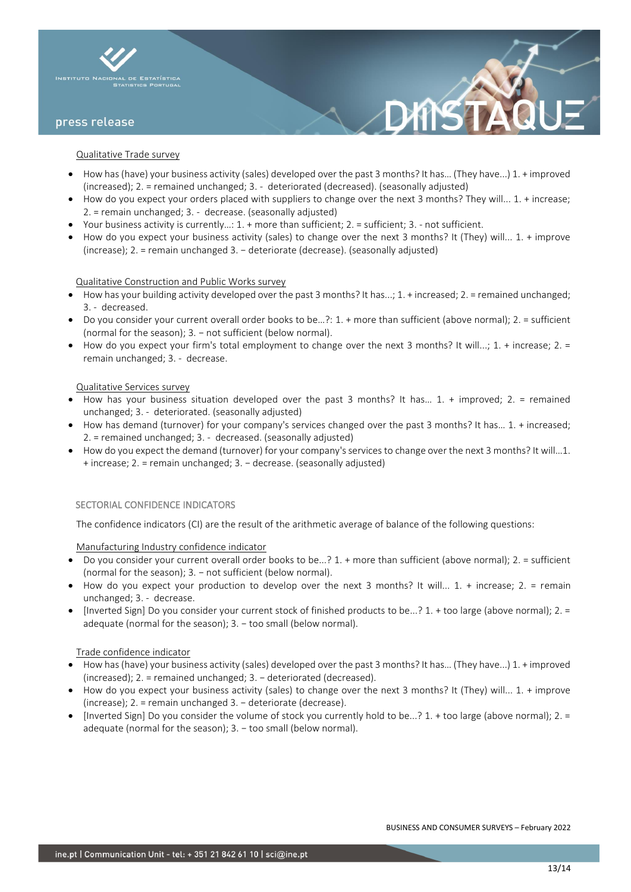

#### Qualitative Trade survey

- How has (have) your business activity (sales) developed over the past 3 months? It has… (They have...) 1. + improved (increased); 2. = remained unchanged; 3. - deteriorated (decreased). (seasonally adjusted)
- How do you expect your orders placed with suppliers to change over the next 3 months? They will... 1. + increase; 2. = remain unchanged; 3. - decrease. (seasonally adjusted)
- Your business activity is currently…: 1. + more than sufficient; 2. = sufficient; 3. not sufficient.
- How do you expect your business activity (sales) to change over the next 3 months? It (They) will... 1. + improve (increase); 2. = remain unchanged 3. − deteriorate (decrease). (seasonally adjusted)

#### Qualitative Construction and Public Works survey

- $\bullet$  How has your building activity developed over the past 3 months? It has...; 1. + increased; 2. = remained unchanged; 3. - decreased.
- Do you consider your current overall order books to be…?: 1. + more than sufficient (above normal); 2. = sufficient (normal for the season); 3. − not sufficient (below normal).
- How do you expect your firm's total employment to change over the next 3 months? It will...; 1. + increase; 2. = remain unchanged; 3. - decrease.

### Qualitative Services survey

- How has your business situation developed over the past 3 months? It has… 1. + improved; 2. = remained unchanged; 3. - deteriorated. (seasonally adjusted)
- How has demand (turnover) for your company's services changed over the past 3 months? It has… 1. + increased; 2. = remained unchanged; 3. - decreased. (seasonally adjusted)
- How do you expect the demand (turnover) for your company's services to change over the next 3 months? It will…1. + increase; 2. = remain unchanged; 3. − decrease. (seasonally adjusted)

### SECTORIAL CONFIDENCE INDICATORS

The confidence indicators (CI) are the result of the arithmetic average of balance of the following questions:

#### Manufacturing Industry confidence indicator

- Do you consider your current overall order books to be...? 1. + more than sufficient (above normal); 2. = sufficient (normal for the season); 3. – not sufficient (below normal).
- How do you expect your production to develop over the next 3 months? It will... 1. + increase; 2. = remain unchanged; 3. - decrease.
- [Inverted Sign] Do you consider your current stock of finished products to be...? 1. + too large (above normal); 2. = adequate (normal for the season); 3. - too small (below normal).

#### Trade confidence indicator

- How has (have) your business activity (sales) developed over the past 3 months? It has… (They have...) 1. + improved (increased); 2. = remained unchanged; 3. − deteriorated (decreased).
- How do you expect your business activity (sales) to change over the next 3 months? It (They) will... 1. + improve (increase); 2. = remain unchanged 3. − deteriorate (decrease).
- [Inverted Sign] Do you consider the volume of stock you currently hold to be...? 1. + too large (above normal); 2. = adequate (normal for the season); 3. - too small (below normal).